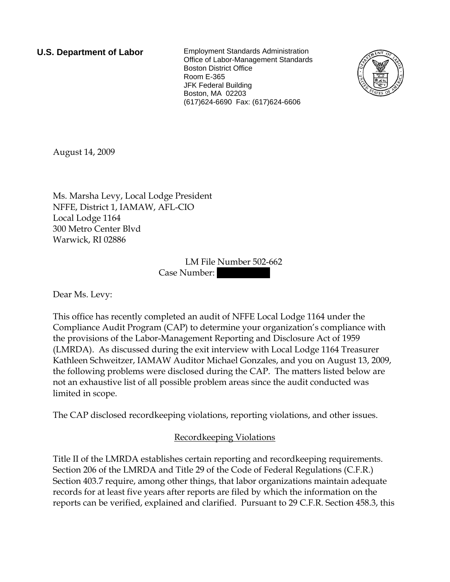**U.S. Department of Labor** Employment Standards Administration Office of Labor-Management Standards Boston District Office Room E-365 JFK Federal Building Boston, MA 02203 (617)624-6690 Fax: (617)624-6606



August 14, 2009

Ms. Marsha Levy, Local Lodge President NFFE, District 1, IAMAW, AFL-CIO Local Lodge 1164 300 Metro Center Blvd Warwick, RI 02886

> LM File Number 502-662 Case Number:

Dear Ms. Levy:

This office has recently completed an audit of NFFE Local Lodge 1164 under the Compliance Audit Program (CAP) to determine your organization's compliance with the provisions of the Labor-Management Reporting and Disclosure Act of 1959 (LMRDA). As discussed during the exit interview with Local Lodge 1164 Treasurer Kathleen Schweitzer, IAMAW Auditor Michael Gonzales, and you on August 13, 2009, the following problems were disclosed during the CAP. The matters listed below are not an exhaustive list of all possible problem areas since the audit conducted was limited in scope.

The CAP disclosed recordkeeping violations, reporting violations, and other issues.

# Recordkeeping Violations

Title II of the LMRDA establishes certain reporting and recordkeeping requirements. Section 206 of the LMRDA and Title 29 of the Code of Federal Regulations (C.F.R.) Section 403.7 require, among other things, that labor organizations maintain adequate records for at least five years after reports are filed by which the information on the reports can be verified, explained and clarified. Pursuant to 29 C.F.R. Section 458.3, this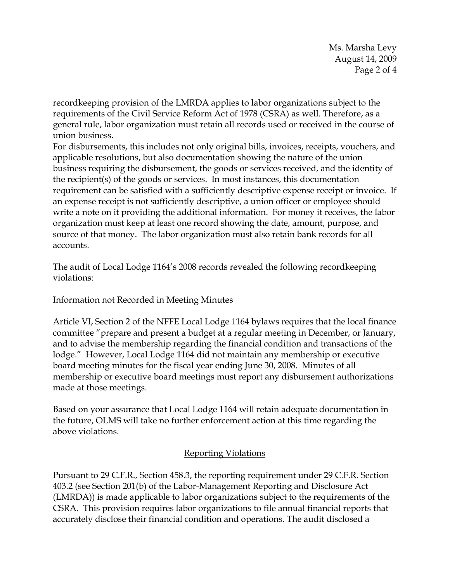Ms. Marsha Levy August 14, 2009 Page 2 of 4

recordkeeping provision of the LMRDA applies to labor organizations subject to the requirements of the Civil Service Reform Act of 1978 (CSRA) as well. Therefore, as a general rule, labor organization must retain all records used or received in the course of union business.

For disbursements, this includes not only original bills, invoices, receipts, vouchers, and applicable resolutions, but also documentation showing the nature of the union business requiring the disbursement, the goods or services received, and the identity of the recipient(s) of the goods or services. In most instances, this documentation requirement can be satisfied with a sufficiently descriptive expense receipt or invoice. If an expense receipt is not sufficiently descriptive, a union officer or employee should write a note on it providing the additional information. For money it receives, the labor organization must keep at least one record showing the date, amount, purpose, and source of that money. The labor organization must also retain bank records for all accounts.

The audit of Local Lodge 1164's 2008 records revealed the following recordkeeping violations:

Information not Recorded in Meeting Minutes

Article VI, Section 2 of the NFFE Local Lodge 1164 bylaws requires that the local finance committee "prepare and present a budget at a regular meeting in December, or January, and to advise the membership regarding the financial condition and transactions of the lodge." However, Local Lodge 1164 did not maintain any membership or executive board meeting minutes for the fiscal year ending June 30, 2008. Minutes of all membership or executive board meetings must report any disbursement authorizations made at those meetings.

Based on your assurance that Local Lodge 1164 will retain adequate documentation in the future, OLMS will take no further enforcement action at this time regarding the above violations.

# Reporting Violations

Pursuant to 29 C.F.R., Section 458.3, the reporting requirement under 29 C.F.R. Section 403.2 (see Section 201(b) of the Labor-Management Reporting and Disclosure Act (LMRDA)) is made applicable to labor organizations subject to the requirements of the CSRA. This provision requires labor organizations to file annual financial reports that accurately disclose their financial condition and operations. The audit disclosed a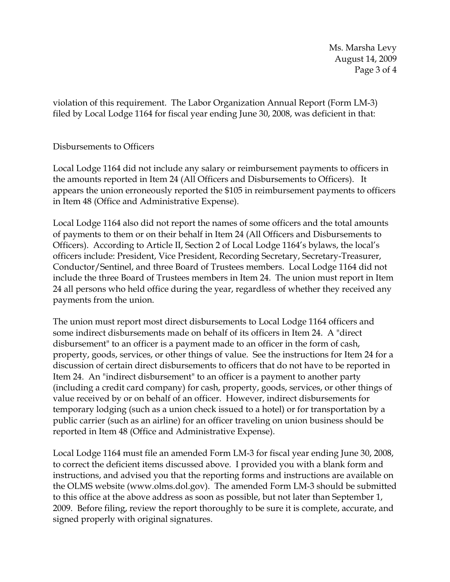Ms. Marsha Levy August 14, 2009 Page 3 of 4

violation of this requirement. The Labor Organization Annual Report (Form LM-3) filed by Local Lodge 1164 for fiscal year ending June 30, 2008, was deficient in that:

## Disbursements to Officers

Local Lodge 1164 did not include any salary or reimbursement payments to officers in the amounts reported in Item 24 (All Officers and Disbursements to Officers). It appears the union erroneously reported the \$105 in reimbursement payments to officers in Item 48 (Office and Administrative Expense).

Local Lodge 1164 also did not report the names of some officers and the total amounts of payments to them or on their behalf in Item 24 (All Officers and Disbursements to Officers). According to Article II, Section 2 of Local Lodge 1164's bylaws, the local's officers include: President, Vice President, Recording Secretary, Secretary-Treasurer, Conductor/Sentinel, and three Board of Trustees members. Local Lodge 1164 did not include the three Board of Trustees members in Item 24. The union must report in Item 24 all persons who held office during the year, regardless of whether they received any payments from the union.

The union must report most direct disbursements to Local Lodge 1164 officers and some indirect disbursements made on behalf of its officers in Item 24. A "direct disbursement" to an officer is a payment made to an officer in the form of cash, property, goods, services, or other things of value. See the instructions for Item 24 for a discussion of certain direct disbursements to officers that do not have to be reported in Item 24. An "indirect disbursement" to an officer is a payment to another party (including a credit card company) for cash, property, goods, services, or other things of value received by or on behalf of an officer. However, indirect disbursements for temporary lodging (such as a union check issued to a hotel) or for transportation by a public carrier (such as an airline) for an officer traveling on union business should be reported in Item 48 (Office and Administrative Expense).

Local Lodge 1164 must file an amended Form LM-3 for fiscal year ending June 30, 2008, to correct the deficient items discussed above. I provided you with a blank form and instructions, and advised you that the reporting forms and instructions are available on the OLMS website (www.olms.dol.gov). The amended Form LM-3 should be submitted to this office at the above address as soon as possible, but not later than September 1, 2009. Before filing, review the report thoroughly to be sure it is complete, accurate, and signed properly with original signatures.